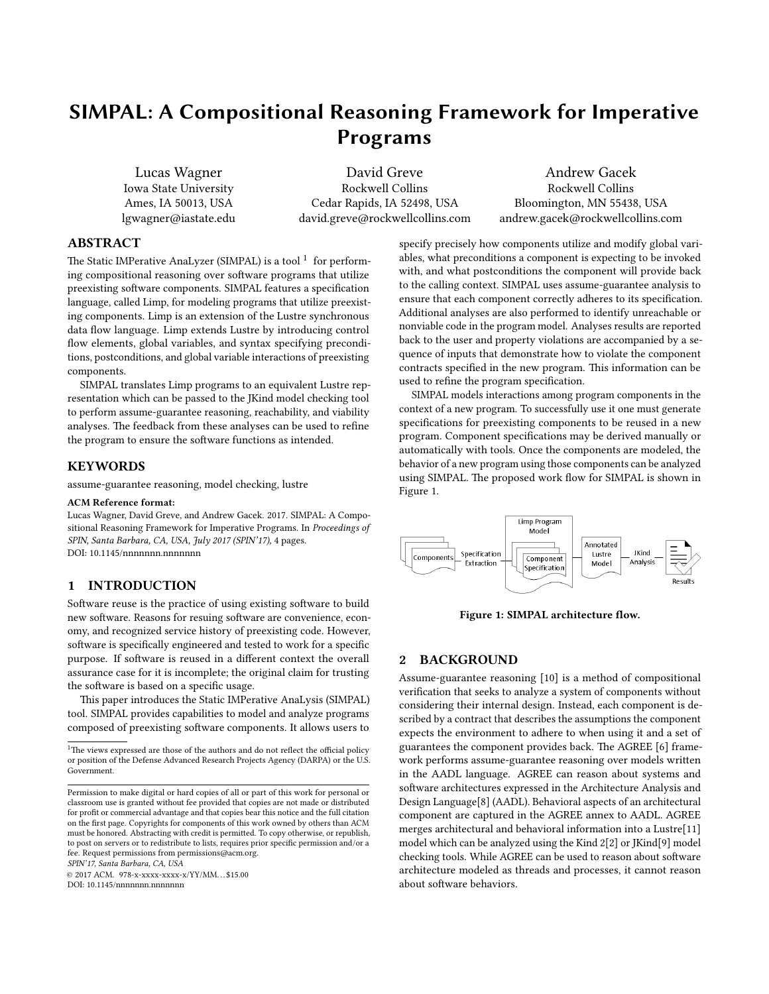# SIMPAL: A Compositional Reasoning Framework for Imperative Programs

Lucas Wagner Iowa State University Ames, IA 50013, USA lgwagner@iastate.edu

David Greve Rockwell Collins Cedar Rapids, IA 52498, USA david.greve@rockwellcollins.com

Andrew Gacek Rockwell Collins Bloomington, MN 55438, USA andrew.gacek@rockwellcollins.com

# ABSTRACT

The Static IMPerative AnaLyzer (SIMPAL) is a tool  $^1\,$  $^1\,$  $^1\,$  for performing compositional reasoning over software programs that utilize preexisting software components. SIMPAL features a specification language, called Limp, for modeling programs that utilize preexisting components. Limp is an extension of the Lustre synchronous data flow language. Limp extends Lustre by introducing control flow elements, global variables, and syntax specifying preconditions, postconditions, and global variable interactions of preexisting components.

SIMPAL translates Limp programs to an equivalent Lustre representation which can be passed to the JKind model checking tool to perform assume-guarantee reasoning, reachability, and viability analyses. The feedback from these analyses can be used to refine the program to ensure the software functions as intended.

## KEYWORDS

assume-guarantee reasoning, model checking, lustre

#### ACM Reference format:

Lucas Wagner, David Greve, and Andrew Gacek. 2017. SIMPAL: A Compositional Reasoning Framework for Imperative Programs. In Proceedings of SPIN, Santa Barbara, CA, USA, July 2017 (SPIN'17), [4](#page-3-0) pages. DOI: 10.1145/nnnnnnn.nnnnnnn

## 1 INTRODUCTION

Software reuse is the practice of using existing software to build new software. Reasons for resuing software are convenience, economy, and recognized service history of preexisting code. However, software is specifically engineered and tested to work for a specific purpose. If software is reused in a different context the overall assurance case for it is incomplete; the original claim for trusting the software is based on a specific usage.

This paper introduces the Static IMPerative AnaLysis (SIMPAL) tool. SIMPAL provides capabilities to model and analyze programs composed of preexisting software components. It allows users to

SPIN'17, Santa Barbara, CA, USA

© 2017 ACM. 978-x-xxxx-xxxx-x/YY/MM. . . \$15.00 DOI: 10.1145/nnnnnnn.nnnnnnn

specify precisely how components utilize and modify global variables, what preconditions a component is expecting to be invoked with, and what postconditions the component will provide back to the calling context. SIMPAL uses assume-guarantee analysis to ensure that each component correctly adheres to its specification. Additional analyses are also performed to identify unreachable or nonviable code in the program model. Analyses results are reported back to the user and property violations are accompanied by a sequence of inputs that demonstrate how to violate the component contracts specified in the new program. This information can be used to refine the program specification.

SIMPAL models interactions among program components in the context of a new program. To successfully use it one must generate specifications for preexisting components to be reused in a new program. Component specifications may be derived manually or automatically with tools. Once the components are modeled, the behavior of a new program using those components can be analyzed using SIMPAL. The proposed work flow for SIMPAL is shown in Figure [1.](#page-0-1)

<span id="page-0-1"></span>

Figure 1: SIMPAL architecture flow.

# 2 BACKGROUND

Assume-guarantee reasoning [\[10\]](#page-3-1) is a method of compositional verification that seeks to analyze a system of components without considering their internal design. Instead, each component is described by a contract that describes the assumptions the component expects the environment to adhere to when using it and a set of guarantees the component provides back. The AGREE [\[6\]](#page-3-2) framework performs assume-guarantee reasoning over models written in the AADL language. AGREE can reason about systems and software architectures expressed in the Architecture Analysis and Design Language[\[8\]](#page-3-3) (AADL). Behavioral aspects of an architectural component are captured in the AGREE annex to AADL. AGREE merges architectural and behavioral information into a Lustre[\[11\]](#page-3-4) model which can be analyzed using the Kind 2[\[2\]](#page-3-5) or JKind[\[9\]](#page-3-6) model checking tools. While AGREE can be used to reason about software architecture modeled as threads and processes, it cannot reason about software behaviors.

<span id="page-0-0"></span><sup>&</sup>lt;sup>1</sup>The views expressed are those of the authors and do not reflect the official policy or position of the Defense Advanced Research Projects Agency (DARPA) or the U.S. Government.

Permission to make digital or hard copies of all or part of this work for personal or classroom use is granted without fee provided that copies are not made or distributed for profit or commercial advantage and that copies bear this notice and the full citation on the first page. Copyrights for components of this work owned by others than  $\rm{ACM}$ must be honored. Abstracting with credit is permitted. To copy otherwise, or republish, to post on servers or to redistribute to lists, requires prior specific permission and/or a fee. Request permissions from permissions@acm.org.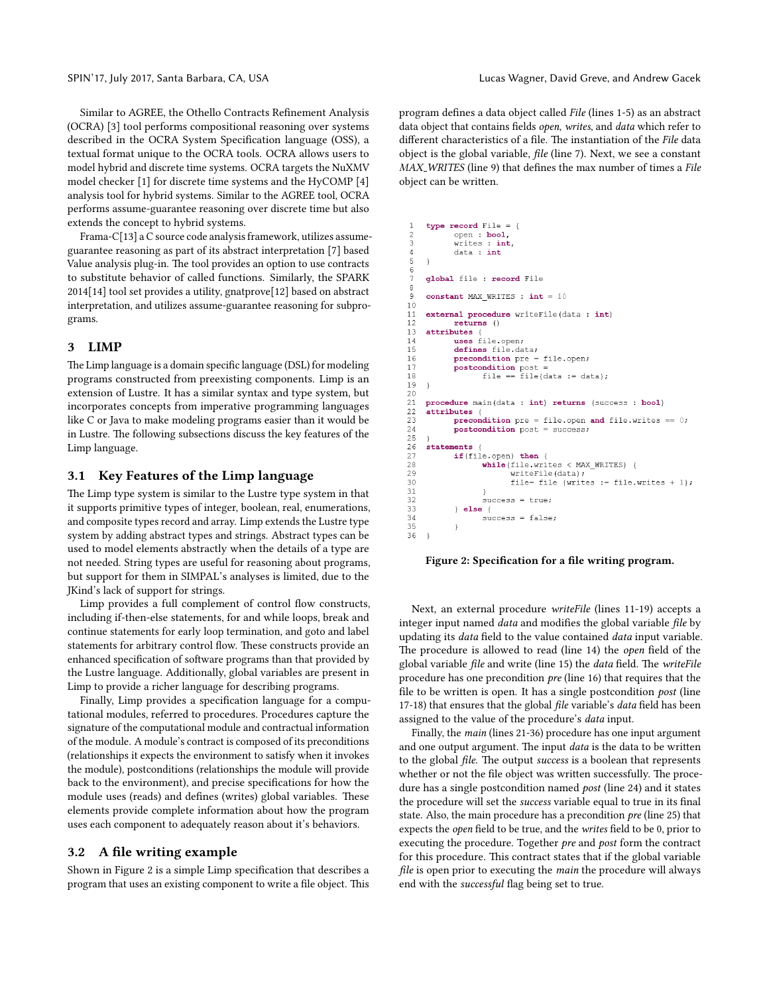Similar to AGREE, the Othello Contracts Refinement Analysis (OCRA) [\[3\]](#page-3-7) tool performs compositional reasoning over systems described in the OCRA System Specification language (OSS), a textual format unique to the OCRA tools. OCRA allows users to model hybrid and discrete time systems. OCRA targets the NuXMV model checker [\[1\]](#page-3-8) for discrete time systems and the HyCOMP [\[4\]](#page-3-9) analysis tool for hybrid systems. Similar to the AGREE tool, OCRA performs assume-guarantee reasoning over discrete time but also extends the concept to hybrid systems.

Frama-C[\[13\]](#page-3-10) a C source code analysis framework, utilizes assumeguarantee reasoning as part of its abstract interpretation [\[7\]](#page-3-11) based Value analysis plug-in. The tool provides an option to use contracts to substitute behavior of called functions. Similarly, the SPARK 2014[\[14\]](#page-3-12) tool set provides a utility, gnatprove[\[12\]](#page-3-13) based on abstract interpretation, and utilizes assume-guarantee reasoning for subprograms.

#### 3 LIMP

The Limp language is a domain specific language (DSL) for modeling programs constructed from preexisting components. Limp is an extension of Lustre. It has a similar syntax and type system, but incorporates concepts from imperative programming languages like C or Java to make modeling programs easier than it would be in Lustre. The following subsections discuss the key features of the Limp language.

## 3.1 Key Features of the Limp language

The Limp type system is similar to the Lustre type system in that it supports primitive types of integer, boolean, real, enumerations, and composite types record and array. Limp extends the Lustre type system by adding abstract types and strings. Abstract types can be used to model elements abstractly when the details of a type are not needed. String types are useful for reasoning about programs, but support for them in SIMPAL's analyses is limited, due to the JKind's lack of support for strings.

Limp provides a full complement of control flow constructs, including if-then-else statements, for and while loops, break and continue statements for early loop termination, and goto and label statements for arbitrary control flow. These constructs provide an enhanced specification of software programs than that provided by the Lustre language. Additionally, global variables are present in Limp to provide a richer language for describing programs.

Finally, Limp provides a specification language for a computational modules, referred to procedures. Procedures capture the signature of the computational module and contractual information of the module. A module's contract is composed of its preconditions (relationships it expects the environment to satisfy when it invokes the module), postconditions (relationships the module will provide back to the environment), and precise specifications for how the module uses (reads) and defines (writes) global variables. These elements provide complete information about how the program uses each component to adequately reason about it's behaviors.

## 3.2 A file writing example

Shown in Figure [2](#page-1-0) is a simple Limp specification that describes a program that uses an existing component to write a file object. This program defines a data object called *File* (lines 1-5) as an abstract data object that contains fields open, writes, and data which refer to different characteristics of a file. The instantiation of the File data object is the global variable, *file* (line 7). Next, we see a constant MAX\_WRITES (line 9) that defines the max number of times a File object can be written.

```
type record File =
           open : bool,
\overline{3}writes : int.
\overline{4}data : int
\sqrt{2}\overline{\phantom{a}}6
    global file : record File
\epsilonconstant MAX_WRITES : int = 10
\circ10external procedure writeFile(data : int)
1112returns()at13
           uses file.open;
1415
           defines file.data;
           precondition pre = file.open;
16
           postcondition post
17
                  file == file{data := data};
18
19
    \rightarrow2021procedure main(data : int) returns (success : bool)
22attributes {
23
           precondition pre = file.open and file.writes == 0;
24
           postcondition post = success;25
26statements
27
           if (file.open) then {
28
                  while (file.writes < MAX_WRITES) {
29
                         writeFile(data);
                         file= file {writes := file.writes + 1};
30
31
32
                  success = true;33else\,success = false;34
35
36
```
#### Figure 2: Specification for a file writing program.

Next, an external procedure writeFile (lines 11-19) accepts a integer input named *data* and modifies the global variable *file* by updating its *data* field to the value contained *data* input variable. The procedure is allowed to read (line 14) the open field of the global variable file and write (line 15) the data field. The writeFile procedure has one precondition pre (line 16) that requires that the file to be written is open. It has a single postcondition  $post$  (line 17-18) that ensures that the global file variable's data field has been assigned to the value of the procedure's data input.

Finally, the main (lines 21-36) procedure has one input argument and one output argument. The input data is the data to be written to the global file. The output success is a boolean that represents whether or not the file object was written successfully. The procedure has a single postcondition named post (line 24) and it states the procedure will set the success variable equal to true in its final state. Also, the main procedure has a precondition  $pre$  (line 25) that expects the open field to be true, and the writes field to be 0, prior to executing the procedure. Together pre and post form the contract for this procedure. This contract states that if the global variable file is open prior to executing the *main* the procedure will always end with the successful flag being set to true.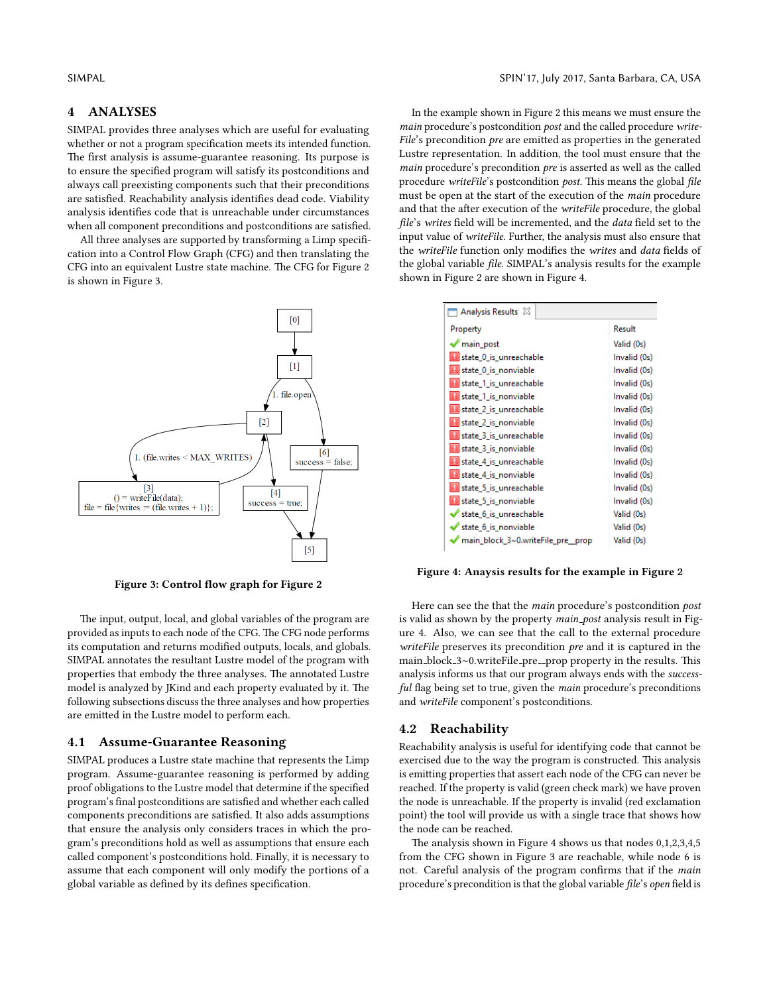#### 4 ANALYSES

SIMPAL provides three analyses which are useful for evaluating whether or not a program specification meets its intended function. The first analysis is assume-guarantee reasoning. Its purpose is to ensure the specified program will satisfy its postconditions and always call preexisting components such that their preconditions are satisfied. Reachability analysis identifies dead code. Viability analysis identifies code that is unreachable under circumstances when all component preconditions and postconditions are satisfied.

All three analyses are supported by transforming a Limp specification into a Control Flow Graph (CFG) and then translating the CFG into an equivalent Lustre state machine. The CFG for Figure [2](#page-1-0) is shown in Figure [3.](#page-2-0)

<span id="page-2-0"></span>

Figure 3: Control flow graph for Figure [2](#page-1-0)

The input, output, local, and global variables of the program are provided as inputs to each node of the CFG. The CFG node performs its computation and returns modified outputs, locals, and globals. SIMPAL annotates the resultant Lustre model of the program with properties that embody the three analyses. The annotated Lustre model is analyzed by JKind and each property evaluated by it. The following subsections discuss the three analyses and how properties are emitted in the Lustre model to perform each.

# 4.1 Assume-Guarantee Reasoning

SIMPAL produces a Lustre state machine that represents the Limp program. Assume-guarantee reasoning is performed by adding proof obligations to the Lustre model that determine if the specified program's final postconditions are satisfied and whether each called components preconditions are satisfied. It also adds assumptions that ensure the analysis only considers traces in which the program's preconditions hold as well as assumptions that ensure each called component's postconditions hold. Finally, it is necessary to assume that each component will only modify the portions of a global variable as defined by its defines specification.

In the example shown in Figure [2](#page-1-0) this means we must ensure the main procedure's postcondition post and the called procedure write- $File's$  precondition  $pre$  are emitted as properties in the generated Lustre representation. In addition, the tool must ensure that the main procedure's precondition pre is asserted as well as the called procedure writeFile's postcondition post. This means the global file must be open at the start of the execution of the main procedure and that the after execution of the writeFile procedure, the global file's writes field will be incremented, and the data field set to the input value of writeFile. Further, the analysis must also ensure that the writeFile function only modifies the writes and data fields of the global variable file. SIMPAL's analysis results for the example shown in Figure [2](#page-1-0) are shown in Figure [4.](#page-2-1)

<span id="page-2-1"></span>

| Analysis Results 23                |              |
|------------------------------------|--------------|
| Property                           | Result       |
| 'main_post                         | Valid (0s)   |
| state 0 is unreachable             | Invalid (0s) |
| state 0 is nonviable               | Invalid (0s) |
| state_1_is_unreachable             | Invalid (0s) |
| state_1_is_nonviable               | Invalid (0s) |
| state 2 is unreachable             | Invalid (0s) |
| state 2 is nonviable               | Invalid (0s) |
| state 3 is unreachable             | Invalid (0s) |
| state_3_is_nonviable               | Invalid (0s) |
| <b>H</b> state 4 is unreachable    | Invalid (0s) |
| state_4_is_nonviable               | Invalid (0s) |
| <b>H</b> state 5 is unreachable    | Invalid (0s) |
| state_5_is_nonviable               | Invalid (0s) |
| state_6_is_unreachable             | Valid (0s)   |
| state 6 is nonviable               | Valid (0s)   |
| main_block_3~0.writeFile_pre__prop | Valid (0s)   |

Figure 4: Anaysis results for the example in Figure [2](#page-1-0)

Here can see the that the main procedure's postcondition post is valid as shown by the property main\_post analysis result in Figure [4.](#page-2-1) Also, we can see that the call to the external procedure writeFile preserves its precondition *pre* and it is captured in the main\_block\_3∼0.writeFile\_pre\_prop property in the results. This analysis informs us that our program always ends with the successful flag being set to true, given the *main* procedure's preconditions and writeFile component's postconditions.

## 4.2 Reachability

Reachability analysis is useful for identifying code that cannot be exercised due to the way the program is constructed. This analysis is emitting properties that assert each node of the CFG can never be reached. If the property is valid (green check mark) we have proven the node is unreachable. If the property is invalid (red exclamation point) the tool will provide us with a single trace that shows how the node can be reached.

The analysis shown in Figure [4](#page-2-1) shows us that nodes  $0,1,2,3,4,5$ from the CFG shown in Figure [3](#page-2-0) are reachable, while node 6 is not. Careful analysis of the program confirms that if the main procedure's precondition is that the global variable file's open field is